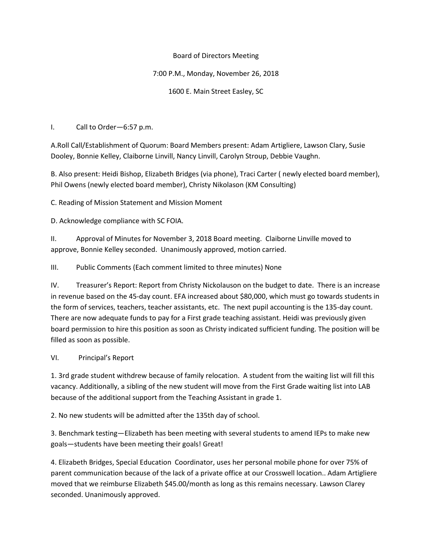## Board of Directors Meeting

## 7:00 P.M., Monday, November 26, 2018

1600 E. Main Street Easley, SC

I. Call to Order—6:57 p.m.

A.Roll Call/Establishment of Quorum: Board Members present: Adam Artigliere, Lawson Clary, Susie Dooley, Bonnie Kelley, Claiborne Linvill, Nancy Linvill, Carolyn Stroup, Debbie Vaughn.

B. Also present: Heidi Bishop, Elizabeth Bridges (via phone), Traci Carter ( newly elected board member), Phil Owens (newly elected board member), Christy Nikolason (KM Consulting)

C. Reading of Mission Statement and Mission Moment

D. Acknowledge compliance with SC FOIA.

II. Approval of Minutes for November 3, 2018 Board meeting. Claiborne Linville moved to approve, Bonnie Kelley seconded. Unanimously approved, motion carried.

III. Public Comments (Each comment limited to three minutes) None

IV. Treasurer's Report: Report from Christy Nickolauson on the budget to date. There is an increase in revenue based on the 45-day count. EFA increased about \$80,000, which must go towards students in the form of services, teachers, teacher assistants, etc. The next pupil accounting is the 135-day count. There are now adequate funds to pay for a First grade teaching assistant. Heidi was previously given board permission to hire this position as soon as Christy indicated sufficient funding. The position will be filled as soon as possible.

# VI. Principal's Report

1. 3rd grade student withdrew because of family relocation. A student from the waiting list will fill this vacancy. Additionally, a sibling of the new student will move from the First Grade waiting list into LAB because of the additional support from the Teaching Assistant in grade 1.

2. No new students will be admitted after the 135th day of school.

3. Benchmark testing—Elizabeth has been meeting with several students to amend IEPs to make new goals—students have been meeting their goals! Great!

4. Elizabeth Bridges, Special Education Coordinator, uses her personal mobile phone for over 75% of parent communication because of the lack of a private office at our Crosswell location.. Adam Artigliere moved that we reimburse Elizabeth \$45.00/month as long as this remains necessary. Lawson Clarey seconded. Unanimously approved.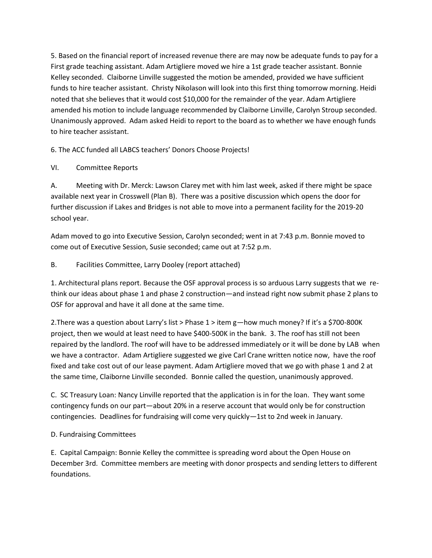5. Based on the financial report of increased revenue there are may now be adequate funds to pay for a First grade teaching assistant. Adam Artigliere moved we hire a 1st grade teacher assistant. Bonnie Kelley seconded. Claiborne Linville suggested the motion be amended, provided we have sufficient funds to hire teacher assistant. Christy Nikolason will look into this first thing tomorrow morning. Heidi noted that she believes that it would cost \$10,000 for the remainder of the year. Adam Artigliere amended his motion to include language recommended by Claiborne Linville, Carolyn Stroup seconded. Unanimously approved. Adam asked Heidi to report to the board as to whether we have enough funds to hire teacher assistant.

6. The ACC funded all LABCS teachers' Donors Choose Projects!

## VI. Committee Reports

A. Meeting with Dr. Merck: Lawson Clarey met with him last week, asked if there might be space available next year in Crosswell (Plan B). There was a positive discussion which opens the door for further discussion if Lakes and Bridges is not able to move into a permanent facility for the 2019-20 school year.

Adam moved to go into Executive Session, Carolyn seconded; went in at 7:43 p.m. Bonnie moved to come out of Executive Session, Susie seconded; came out at 7:52 p.m.

## B. Facilities Committee, Larry Dooley (report attached)

1. Architectural plans report. Because the OSF approval process is so arduous Larry suggests that we rethink our ideas about phase 1 and phase 2 construction—and instead right now submit phase 2 plans to OSF for approval and have it all done at the same time.

2.There was a question about Larry's list > Phase 1 > item g—how much money? If it's a \$700-800K project, then we would at least need to have \$400-500K in the bank. 3. The roof has still not been repaired by the landlord. The roof will have to be addressed immediately or it will be done by LAB when we have a contractor. Adam Artigliere suggested we give Carl Crane written notice now, have the roof fixed and take cost out of our lease payment. Adam Artigliere moved that we go with phase 1 and 2 at the same time, Claiborne Linville seconded. Bonnie called the question, unanimously approved.

C. SC Treasury Loan: Nancy Linville reported that the application is in for the loan. They want some contingency funds on our part—about 20% in a reserve account that would only be for construction contingencies. Deadlines for fundraising will come very quickly—1st to 2nd week in January.

#### D. Fundraising Committees

E. Capital Campaign: Bonnie Kelley the committee is spreading word about the Open House on December 3rd. Committee members are meeting with donor prospects and sending letters to different foundations.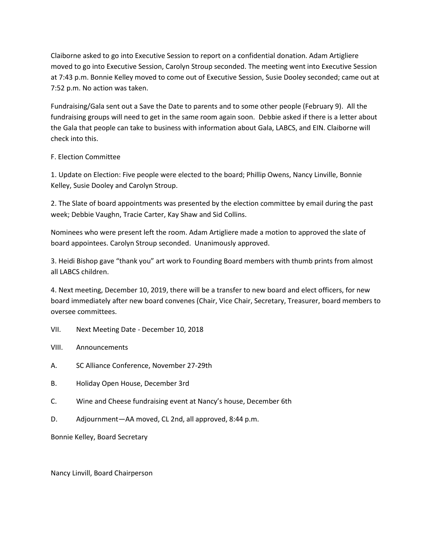Claiborne asked to go into Executive Session to report on a confidential donation. Adam Artigliere moved to go into Executive Session, Carolyn Stroup seconded. The meeting went into Executive Session at 7:43 p.m. Bonnie Kelley moved to come out of Executive Session, Susie Dooley seconded; came out at 7:52 p.m. No action was taken.

Fundraising/Gala sent out a Save the Date to parents and to some other people (February 9). All the fundraising groups will need to get in the same room again soon. Debbie asked if there is a letter about the Gala that people can take to business with information about Gala, LABCS, and EIN. Claiborne will check into this.

#### F. Election Committee

1. Update on Election: Five people were elected to the board; Phillip Owens, Nancy Linville, Bonnie Kelley, Susie Dooley and Carolyn Stroup.

2. The Slate of board appointments was presented by the election committee by email during the past week; Debbie Vaughn, Tracie Carter, Kay Shaw and Sid Collins.

Nominees who were present left the room. Adam Artigliere made a motion to approved the slate of board appointees. Carolyn Stroup seconded. Unanimously approved.

3. Heidi Bishop gave "thank you" art work to Founding Board members with thumb prints from almost all LABCS children.

4. Next meeting, December 10, 2019, there will be a transfer to new board and elect officers, for new board immediately after new board convenes (Chair, Vice Chair, Secretary, Treasurer, board members to oversee committees.

- VII. Next Meeting Date December 10, 2018
- VIII. Announcements
- A. SC Alliance Conference, November 27-29th
- B. Holiday Open House, December 3rd
- C. Wine and Cheese fundraising event at Nancy's house, December 6th
- D. Adjournment—AA moved, CL 2nd, all approved, 8:44 p.m.

Bonnie Kelley, Board Secretary

Nancy Linvill, Board Chairperson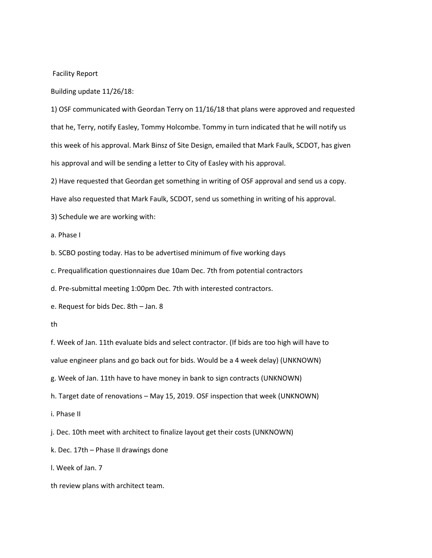#### Facility Report

Building update 11/26/18:

1) OSF communicated with Geordan Terry on 11/16/18 that plans were approved and requested that he, Terry, notify Easley, Tommy Holcombe. Tommy in turn indicated that he will notify us this week of his approval. Mark Binsz of Site Design, emailed that Mark Faulk, SCDOT, has given his approval and will be sending a letter to City of Easley with his approval.

2) Have requested that Geordan get something in writing of OSF approval and send us a copy.

Have also requested that Mark Faulk, SCDOT, send us something in writing of his approval.

3) Schedule we are working with:

a. Phase I

b. SCBO posting today. Has to be advertised minimum of five working days

c. Prequalification questionnaires due 10am Dec. 7th from potential contractors

d. Pre-submittal meeting 1:00pm Dec. 7th with interested contractors.

e. Request for bids Dec. 8th – Jan. 8

th

f. Week of Jan. 11th evaluate bids and select contractor. (If bids are too high will have to

value engineer plans and go back out for bids. Would be a 4 week delay) (UNKNOWN)

g. Week of Jan. 11th have to have money in bank to sign contracts (UNKNOWN)

h. Target date of renovations – May 15, 2019. OSF inspection that week (UNKNOWN)

i. Phase II

j. Dec. 10th meet with architect to finalize layout get their costs (UNKNOWN)

k. Dec. 17th – Phase II drawings done

l. Week of Jan. 7

th review plans with architect team.